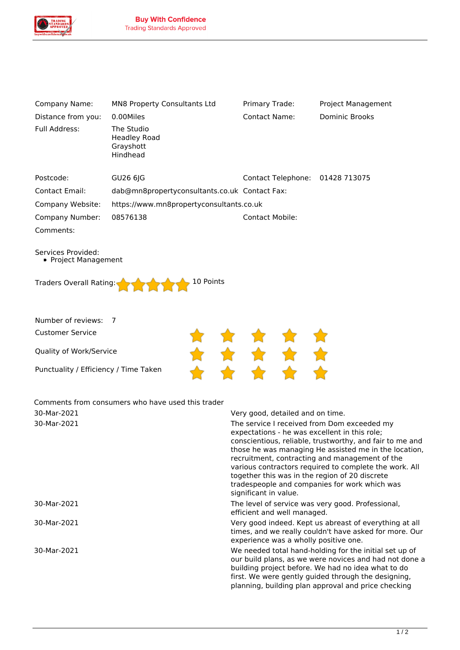

| Company Name:                                     | MN8 Property Consultants Ltd                  | Primary Trade:                                | Project Management                                                                                                |
|---------------------------------------------------|-----------------------------------------------|-----------------------------------------------|-------------------------------------------------------------------------------------------------------------------|
| Distance from you:                                | 0.00Miles                                     | <b>Contact Name:</b>                          | <b>Dominic Brooks</b>                                                                                             |
| Full Address:                                     | The Studio                                    |                                               |                                                                                                                   |
|                                                   | <b>Headley Road</b><br>Grayshott              |                                               |                                                                                                                   |
|                                                   | Hindhead                                      |                                               |                                                                                                                   |
|                                                   |                                               |                                               |                                                                                                                   |
| Postcode:                                         | GU26 6JG                                      | Contact Telephone: 01428 713075               |                                                                                                                   |
| <b>Contact Email:</b>                             | dab@mn8propertyconsultants.co.uk Contact Fax: |                                               |                                                                                                                   |
| Company Website:                                  | https://www.mn8propertyconsultants.co.uk      |                                               |                                                                                                                   |
| Company Number:                                   | 08576138                                      | <b>Contact Mobile:</b>                        |                                                                                                                   |
| Comments:                                         |                                               |                                               |                                                                                                                   |
|                                                   |                                               |                                               |                                                                                                                   |
| Services Provided:<br>• Project Management        |                                               |                                               |                                                                                                                   |
|                                                   |                                               |                                               |                                                                                                                   |
| 10 Points<br>Traders Overall Rating:              |                                               |                                               |                                                                                                                   |
|                                                   |                                               |                                               |                                                                                                                   |
|                                                   |                                               |                                               |                                                                                                                   |
| Number of reviews:<br>$\overline{7}$              |                                               |                                               |                                                                                                                   |
| <b>Customer Service</b>                           |                                               |                                               |                                                                                                                   |
| Quality of Work/Service                           |                                               |                                               |                                                                                                                   |
| ★ ★ ★ ★ ★<br>★ ★ ★ ★ ★                            |                                               |                                               |                                                                                                                   |
| Punctuality / Efficiency / Time Taken             |                                               |                                               |                                                                                                                   |
|                                                   |                                               |                                               |                                                                                                                   |
| Comments from consumers who have used this trader |                                               |                                               |                                                                                                                   |
| 30-Mar-2021<br>Very good, detailed and on time.   |                                               |                                               |                                                                                                                   |
| 30-Mar-2021                                       |                                               | The service I received from Dom exceeded my   |                                                                                                                   |
|                                                   |                                               | expectations - he was excellent in this role; |                                                                                                                   |
|                                                   |                                               |                                               | conscientious, reliable, trustworthy, and fair to me and<br>those he was managing He assisted me in the location, |

*various contractors required to complete the work. All together this was in the region of 20 discrete tradespeople and companies for work which was significant in value.*

*30-Mar-2021 The level of service was very good. Professional, efficient and well managed.*

*recruitment, contracting and management of the*

*30-Mar-2021 Very good indeed. Kept us abreast of everything at all times, and we really couldn't have asked for more. Our experience was a wholly positive one.*

*30-Mar-2021 We needed total hand-holding for the initial set up of our build plans, as we were novices and had not done a building project before. We had no idea what to do first. We were gently guided through the designing, planning, building plan approval and price checking*